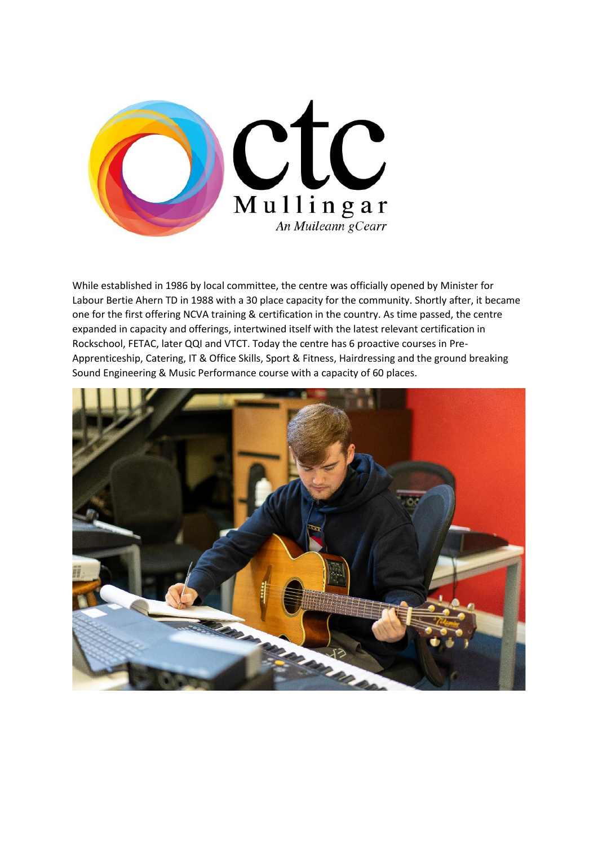

While established in 1986 by local committee, the centre was officially opened by Minister for Labour Bertie Ahern TD in 1988 with a 30 place capacity for the community. Shortly after, it became one for the first offering NCVA training & certification in the country. As time passed, the centre expanded in capacity and offerings, intertwined itself with the latest relevant certification in Rockschool, FETAC, later QQI and VTCT. Today the centre has 6 proactive courses in Pre-Apprenticeship, Catering, IT & Office Skills, Sport & Fitness, Hairdressing and the ground breaking Sound Engineering & Music Performance course with a capacity of 60 places.